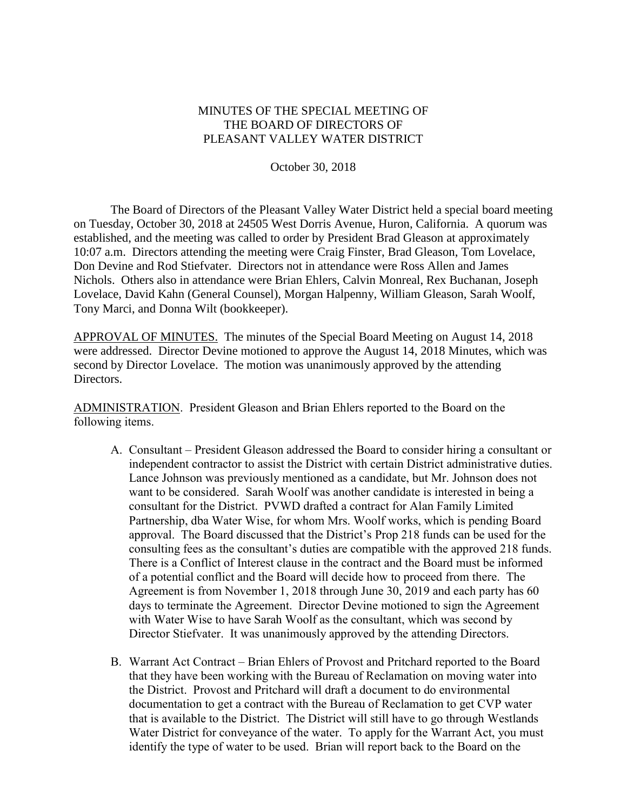## MINUTES OF THE SPECIAL MEETING OF THE BOARD OF DIRECTORS OF PLEASANT VALLEY WATER DISTRICT

October 30, 2018

The Board of Directors of the Pleasant Valley Water District held a special board meeting on Tuesday, October 30, 2018 at 24505 West Dorris Avenue, Huron, California. A quorum was established, and the meeting was called to order by President Brad Gleason at approximately 10:07 a.m. Directors attending the meeting were Craig Finster, Brad Gleason, Tom Lovelace, Don Devine and Rod Stiefvater. Directors not in attendance were Ross Allen and James Nichols. Others also in attendance were Brian Ehlers, Calvin Monreal, Rex Buchanan, Joseph Lovelace, David Kahn (General Counsel), Morgan Halpenny, William Gleason, Sarah Woolf, Tony Marci, and Donna Wilt (bookkeeper).

APPROVAL OF MINUTES. The minutes of the Special Board Meeting on August 14, 2018 were addressed. Director Devine motioned to approve the August 14, 2018 Minutes, which was second by Director Lovelace. The motion was unanimously approved by the attending Directors.

ADMINISTRATION. President Gleason and Brian Ehlers reported to the Board on the following items.

- A. Consultant President Gleason addressed the Board to consider hiring a consultant or independent contractor to assist the District with certain District administrative duties. Lance Johnson was previously mentioned as a candidate, but Mr. Johnson does not want to be considered. Sarah Woolf was another candidate is interested in being a consultant for the District. PVWD drafted a contract for Alan Family Limited Partnership, dba Water Wise, for whom Mrs. Woolf works, which is pending Board approval. The Board discussed that the District's Prop 218 funds can be used for the consulting fees as the consultant's duties are compatible with the approved 218 funds. There is a Conflict of Interest clause in the contract and the Board must be informed of a potential conflict and the Board will decide how to proceed from there. The Agreement is from November 1, 2018 through June 30, 2019 and each party has 60 days to terminate the Agreement. Director Devine motioned to sign the Agreement with Water Wise to have Sarah Woolf as the consultant, which was second by Director Stiefvater. It was unanimously approved by the attending Directors.
- B. Warrant Act Contract Brian Ehlers of Provost and Pritchard reported to the Board that they have been working with the Bureau of Reclamation on moving water into the District. Provost and Pritchard will draft a document to do environmental documentation to get a contract with the Bureau of Reclamation to get CVP water that is available to the District. The District will still have to go through Westlands Water District for conveyance of the water. To apply for the Warrant Act, you must identify the type of water to be used. Brian will report back to the Board on the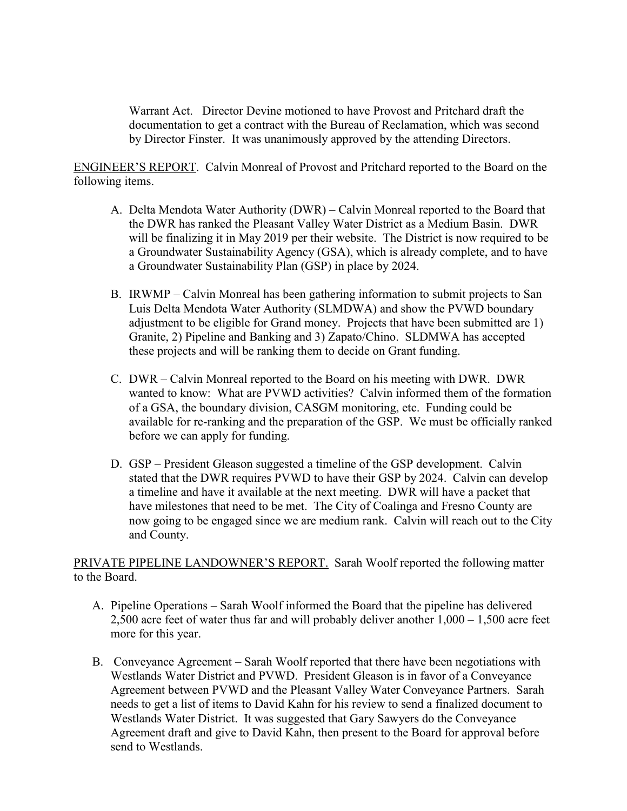Warrant Act. Director Devine motioned to have Provost and Pritchard draft the documentation to get a contract with the Bureau of Reclamation, which was second by Director Finster. It was unanimously approved by the attending Directors.

ENGINEER'S REPORT. Calvin Monreal of Provost and Pritchard reported to the Board on the following items.

- A. Delta Mendota Water Authority (DWR) Calvin Monreal reported to the Board that the DWR has ranked the Pleasant Valley Water District as a Medium Basin. DWR will be finalizing it in May 2019 per their website. The District is now required to be a Groundwater Sustainability Agency (GSA), which is already complete, and to have a Groundwater Sustainability Plan (GSP) in place by 2024.
- B. IRWMP Calvin Monreal has been gathering information to submit projects to San Luis Delta Mendota Water Authority (SLMDWA) and show the PVWD boundary adjustment to be eligible for Grand money. Projects that have been submitted are 1) Granite, 2) Pipeline and Banking and 3) Zapato/Chino. SLDMWA has accepted these projects and will be ranking them to decide on Grant funding.
- C. DWR Calvin Monreal reported to the Board on his meeting with DWR. DWR wanted to know: What are PVWD activities? Calvin informed them of the formation of a GSA, the boundary division, CASGM monitoring, etc. Funding could be available for re-ranking and the preparation of the GSP. We must be officially ranked before we can apply for funding.
- D. GSP President Gleason suggested a timeline of the GSP development. Calvin stated that the DWR requires PVWD to have their GSP by 2024. Calvin can develop a timeline and have it available at the next meeting. DWR will have a packet that have milestones that need to be met. The City of Coalinga and Fresno County are now going to be engaged since we are medium rank. Calvin will reach out to the City and County.

PRIVATE PIPELINE LANDOWNER'S REPORT. Sarah Woolf reported the following matter to the Board.

- A. Pipeline Operations Sarah Woolf informed the Board that the pipeline has delivered 2,500 acre feet of water thus far and will probably deliver another  $1,000 - 1,500$  acre feet more for this year.
- B. Conveyance Agreement Sarah Woolf reported that there have been negotiations with Westlands Water District and PVWD. President Gleason is in favor of a Conveyance Agreement between PVWD and the Pleasant Valley Water Conveyance Partners. Sarah needs to get a list of items to David Kahn for his review to send a finalized document to Westlands Water District. It was suggested that Gary Sawyers do the Conveyance Agreement draft and give to David Kahn, then present to the Board for approval before send to Westlands.